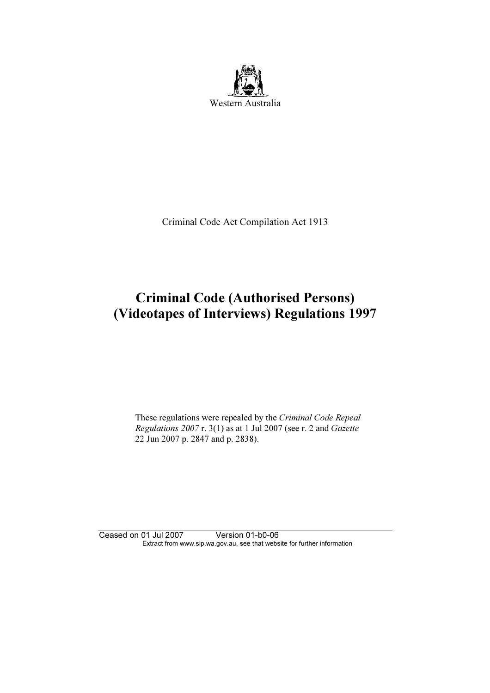

Criminal Code Act Compilation Act 1913

# Criminal Code (Authorised Persons) (Videotapes of Interviews) Regulations 1997

 These regulations were repealed by the Criminal Code Repeal Regulations 2007 r. 3(1) as at 1 Jul 2007 (see r. 2 and Gazette 22 Jun 2007 p. 2847 and p. 2838).

Ceased on 01 Jul 2007 Version 01-b0-06 Extract from www.slp.wa.gov.au, see that website for further information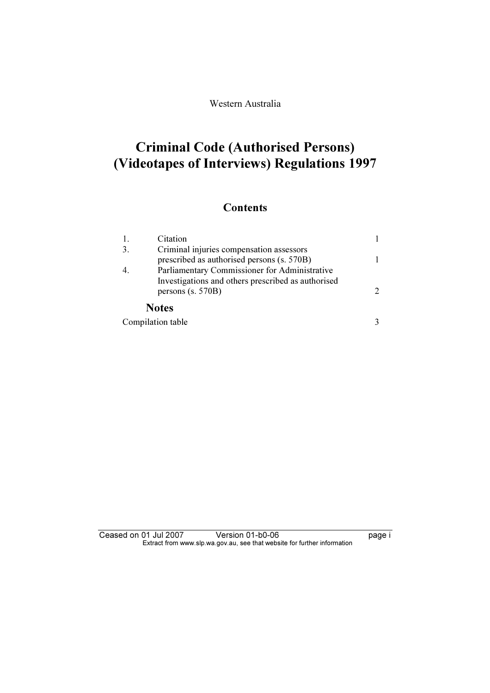Western Australia

# Criminal Code (Authorised Persons) (Videotapes of Interviews) Regulations 1997

### **Contents**

| 1.               | Citation                                                                                            |               |
|------------------|-----------------------------------------------------------------------------------------------------|---------------|
| 3.               | Criminal injuries compensation assessors<br>prescribed as authorised persons (s. 570B)              |               |
| $\overline{4}$ . | Parliamentary Commissioner for Administrative<br>Investigations and others prescribed as authorised |               |
|                  | persons (s. 570B)                                                                                   | $\mathcal{D}$ |
|                  | <b>Notes</b>                                                                                        |               |
|                  | Compilation table                                                                                   |               |

| Ceased on 01 Jul 2007 | Version 01-b0-06                                                         | page i |
|-----------------------|--------------------------------------------------------------------------|--------|
|                       | Extract from www.slp.wa.gov.au, see that website for further information |        |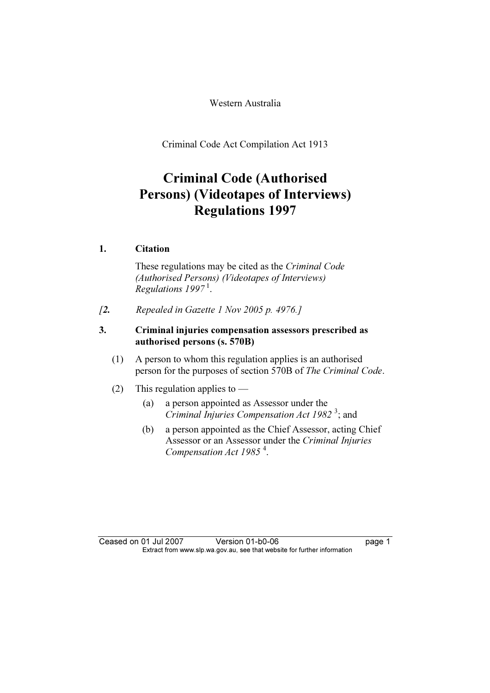Western Australia

Criminal Code Act Compilation Act 1913

### Criminal Code (Authorised Persons) (Videotapes of Interviews) Regulations 1997

#### 1. Citation

 These regulations may be cited as the Criminal Code (Authorised Persons) (Videotapes of Interviews) Regulations  $1997<sup>1</sup>$ .

 $[2.$  Repealed in Gazette 1 Nov 2005 p. 4976.]

#### 3. Criminal injuries compensation assessors prescribed as authorised persons (s. 570B)

- (1) A person to whom this regulation applies is an authorised person for the purposes of section 570B of The Criminal Code.
- (2) This regulation applies to  $-$ 
	- (a) a person appointed as Assessor under the  $C$ riminal Injuries Compensation Act 1982<sup>3</sup>; and
	- (b) a person appointed as the Chief Assessor, acting Chief Assessor or an Assessor under the Criminal Injuries Compensation Act 1985<sup>4</sup>.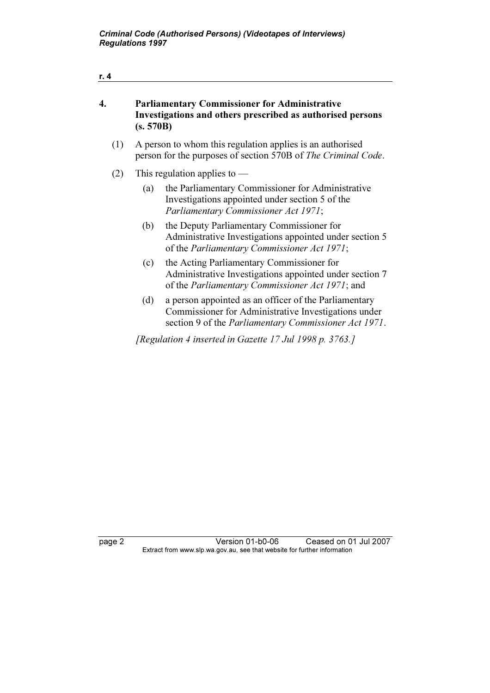| r. 4 |                                                                                                                                 |                                                                                                                                                             |  |  |
|------|---------------------------------------------------------------------------------------------------------------------------------|-------------------------------------------------------------------------------------------------------------------------------------------------------------|--|--|
| 4.   | <b>Parliamentary Commissioner for Administrative</b><br>Investigations and others prescribed as authorised persons<br>(s. 570B) |                                                                                                                                                             |  |  |
| (1)  | A person to whom this regulation applies is an authorised<br>person for the purposes of section 570B of The Criminal Code.      |                                                                                                                                                             |  |  |
| (2)  |                                                                                                                                 | This regulation applies to $-$                                                                                                                              |  |  |
|      | (a)                                                                                                                             | the Parliamentary Commissioner for Administrative<br>Investigations appointed under section 5 of the<br>Parliamentary Commissioner Act 1971;                |  |  |
|      | (b)                                                                                                                             | the Deputy Parliamentary Commissioner for<br>Administrative Investigations appointed under section 5<br>of the <i>Parliamentary Commissioner Act 1971</i> ; |  |  |
|      | (c)                                                                                                                             | the Acting Parliamentary Commissioner for<br>Administrative Investigations appointed under section 7<br>of the Parliamentary Commissioner Act 1971; and     |  |  |

 (d) a person appointed as an officer of the Parliamentary Commissioner for Administrative Investigations under section 9 of the Parliamentary Commissioner Act 1971.

[Regulation 4 inserted in Gazette 17 Jul 1998 p. 3763.]

page 2 Version 01-b0-06 Ceased on 01 Jul 2007 Extract from www.slp.wa.gov.au, see that website for further information

r. 4